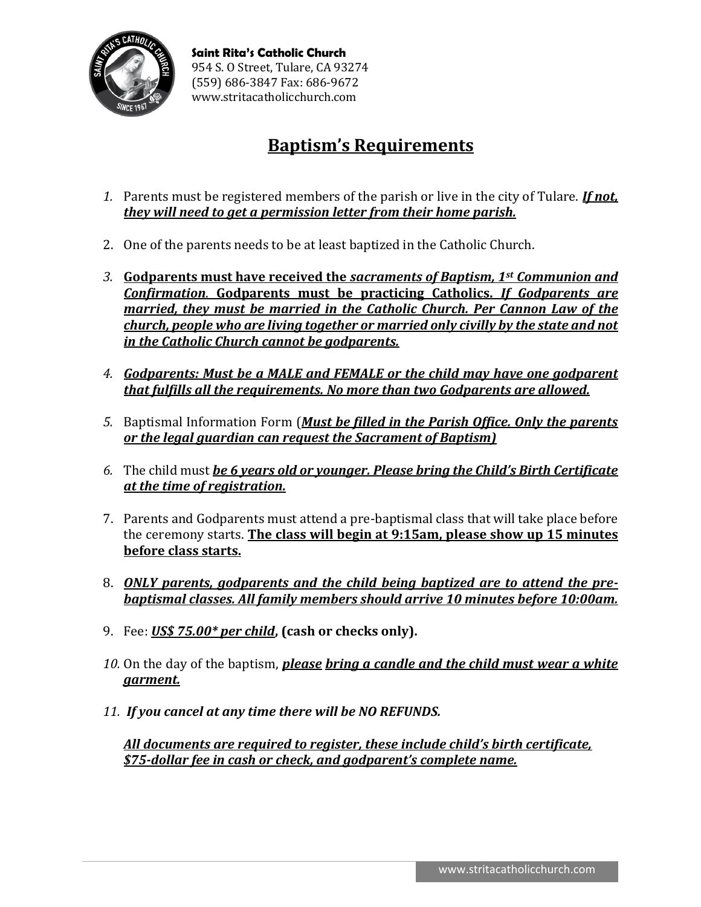

# **Baptism's Requirements**

- *1.* Parents must be registered members of the parish or live in the city of Tulare. *If not, they will need to get a permission letter from their home parish.*
- 2. One of the parents needs to be at least baptized in the Catholic Church.
- *3.* **Godparents must have received the** *sacraments of Baptism, 1st Communion and Confirmation*. **Godparents must be practicing Catholics.** *If Godparents are married, they must be married in the Catholic Church. Per Cannon Law of the church, people who are living together or married only civilly by the state and not in the Catholic Church cannot be godparents.*
- *4. Godparents: Must be a MALE and FEMALE or the child may have one godparent that fulfills all the requirements. No more than two Godparents are allowed.*
- *5.* Baptismal Information Form (*Must be filled in the Parish Office. Only the parents or the legal guardian can request the Sacrament of Baptism)*
- *6.* The child must *be 6 years old or younger. Please bring the Child's Birth Certificate at the time of registration.*
- 7. Parents and Godparents must attend a pre-baptismal class that will take place before the ceremony starts. **The class will begin at 9:15am, please show up 15 minutes before class starts.**
- 8. *ONLY parents, godparents and the child being baptized are to attend the prebaptismal classes. All family members should arrive 10 minutes before 10:00am.*
- 9. Fee: *US\$ 75.00\* per child***, (cash or checks only).**
- *10.* On the day of the baptism, *please bring a candle and the child must wear a white garment.*
- *11. If you cancel at any time there will be NO REFUNDS.*

*All documents are required to register, these include child's birth certificate, \$75-dollar fee in cash or check, and godparent's complete name.*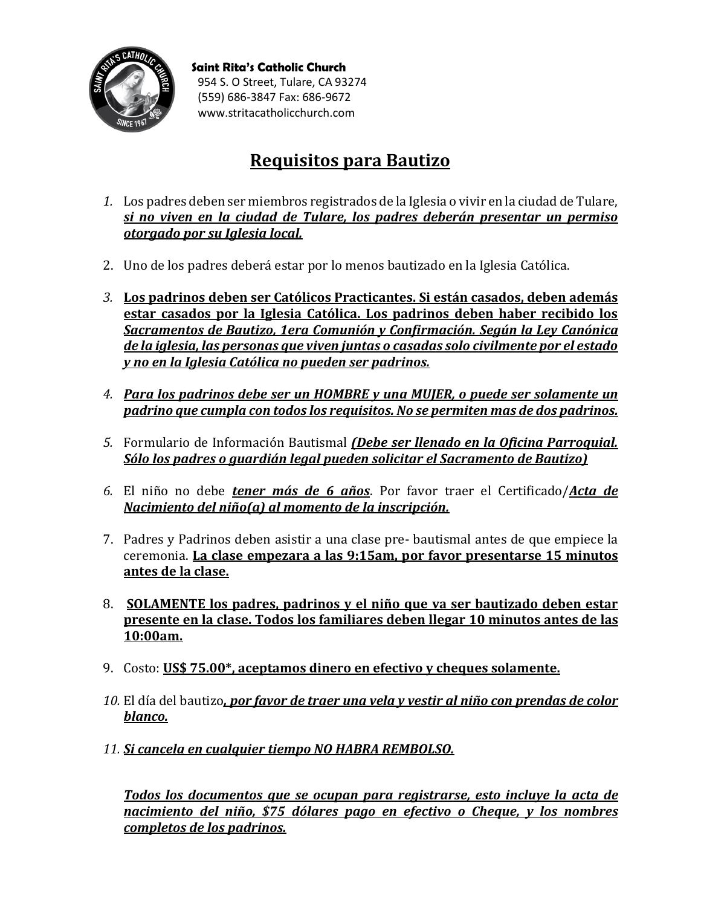

**Saint Rita's Catholic Church** 954 S. O Street, Tulare, CA 93274 (559) 686-3847 Fax: 686-9672 www.stritacatholicchurch.com

## **Requisitos para Bautizo**

- *1.* Los padres deben ser miembros registrados de la Iglesia o vivir en la ciudad de Tulare, *si no viven en la ciudad de Tulare, los padres deberán presentar un permiso otorgado por su Iglesia local.*
- 2. Uno de los padres deberá estar por lo menos bautizado en la Iglesia Católica.
- *3.* **Los padrinos deben ser Católicos Practicantes. Si están casados, deben además estar casados por la Iglesia Católica. Los padrinos deben haber recibido los**  *Sacramentos de Bautizo, 1era Comunión y Confirmación. Según la Ley Canónica de la iglesia, las personas que viven juntas o casadas solo civilmente por el estado y no en la Iglesia Católica no pueden ser padrinos.*
- *4. Para los padrinos debe ser un HOMBRE y una MUJER, o puede ser solamente un padrino que cumpla con todos los requisitos. No se permiten mas de dos padrinos.*
- *5.* Formulario de Información Bautismal *(Debe ser llenado en la Oficina Parroquial. Sólo los padres o guardián legal pueden solicitar el Sacramento de Bautizo)*
- *6.* El niño no debe *tener más de 6 años*. Por favor traer el Certificado/*Acta de Nacimiento del niño(a) al momento de la inscripción.*
- 7. Padres y Padrinos deben asistir a una clase pre- bautismal antes de que empiece la ceremonia. **La clase empezara a las 9:15am, por favor presentarse 15 minutos antes de la clase.**
- 8. **SOLAMENTE los padres, padrinos y el niño que va ser bautizado deben estar presente en la clase. Todos los familiares deben llegar 10 minutos antes de las 10:00am.**
- 9. Costo: **US\$ 75.00\*, aceptamos dinero en efectivo y cheques solamente.**
- *10.* El día del bautizo*, por favor de traer una vela y vestir al niño con prendas de color blanco.*
- *11. Si cancela en cualquier tiempo NO HABRA REMBOLSO.*

*Todos los documentos que se ocupan para registrarse, esto incluye la acta de nacimiento del niño, \$75 dólares pago en efectivo o Cheque, y los nombres completos de los padrinos.*